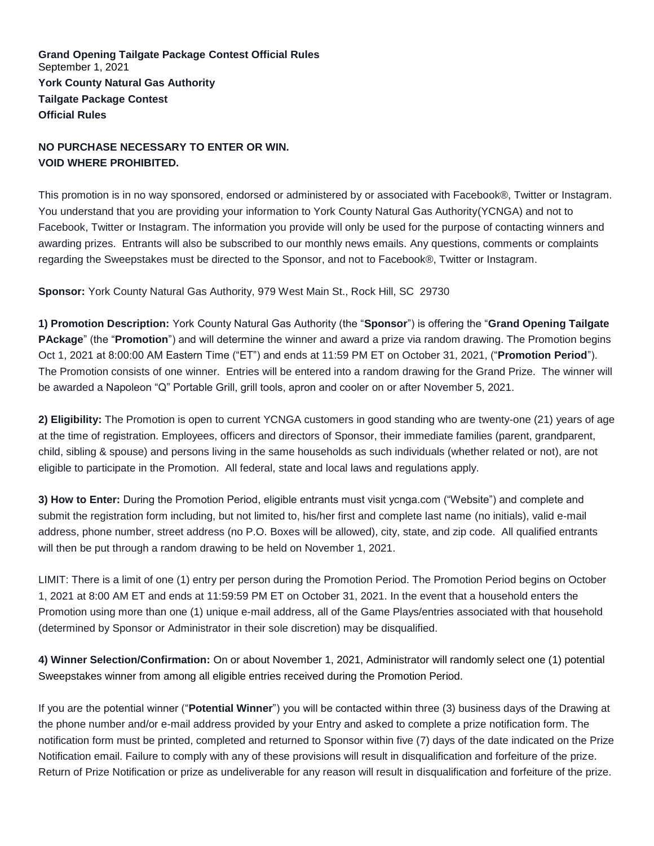**Grand Opening Tailgate Package Contest Official Rules** September 1, 2021 **York County Natural Gas Authority Tailgate Package Contest Official Rules**

## **NO PURCHASE NECESSARY TO ENTER OR WIN. VOID WHERE PROHIBITED.**

This promotion is in no way sponsored, endorsed or administered by or associated with Facebook®, Twitter or Instagram. You understand that you are providing your information to York County Natural Gas Authority(YCNGA) and not to Facebook, Twitter or Instagram. The information you provide will only be used for the purpose of contacting winners and awarding prizes. Entrants will also be subscribed to our monthly news emails. Any questions, comments or complaints regarding the Sweepstakes must be directed to the Sponsor, and not to Facebook®, Twitter or Instagram.

**Sponsor:** York County Natural Gas Authority, 979 West Main St., Rock Hill, SC 29730

**1) Promotion Description:** York County Natural Gas Authority (the "**Sponsor**") is offering the "**Grand Opening Tailgate PAckage**" (the "**Promotion**") and will determine the winner and award a prize via random drawing. The Promotion begins Oct 1, 2021 at 8:00:00 AM Eastern Time ("ET") and ends at 11:59 PM ET on October 31, 2021, ("**Promotion Period**"). The Promotion consists of one winner. Entries will be entered into a random drawing for the Grand Prize. The winner will be awarded a Napoleon "Q" Portable Grill, grill tools, apron and cooler on or after November 5, 2021.

**2) Eligibility:** The Promotion is open to current YCNGA customers in good standing who are twenty-one (21) years of age at the time of registration. Employees, officers and directors of Sponsor, their immediate families (parent, grandparent, child, sibling & spouse) and persons living in the same households as such individuals (whether related or not), are not eligible to participate in the Promotion. All federal, state and local laws and regulations apply.

**3) How to Enter:** During the Promotion Period, eligible entrants must visit ycnga.com ("Website") and complete and submit the registration form including, but not limited to, his/her first and complete last name (no initials), valid e-mail address, phone number, street address (no P.O. Boxes will be allowed), city, state, and zip code. All qualified entrants will then be put through a random drawing to be held on November 1, 2021.

LIMIT: There is a limit of one (1) entry per person during the Promotion Period. The Promotion Period begins on October 1, 2021 at 8:00 AM ET and ends at 11:59:59 PM ET on October 31, 2021. In the event that a household enters the Promotion using more than one (1) unique e-mail address, all of the Game Plays/entries associated with that household (determined by Sponsor or Administrator in their sole discretion) may be disqualified.

**4) Winner Selection/Confirmation:** On or about November 1, 2021, Administrator will randomly select one (1) potential Sweepstakes winner from among all eligible entries received during the Promotion Period.

If you are the potential winner ("**Potential Winner**") you will be contacted within three (3) business days of the Drawing at the phone number and/or e-mail address provided by your Entry and asked to complete a prize notification form. The notification form must be printed, completed and returned to Sponsor within five (7) days of the date indicated on the Prize Notification email. Failure to comply with any of these provisions will result in disqualification and forfeiture of the prize. Return of Prize Notification or prize as undeliverable for any reason will result in disqualification and forfeiture of the prize.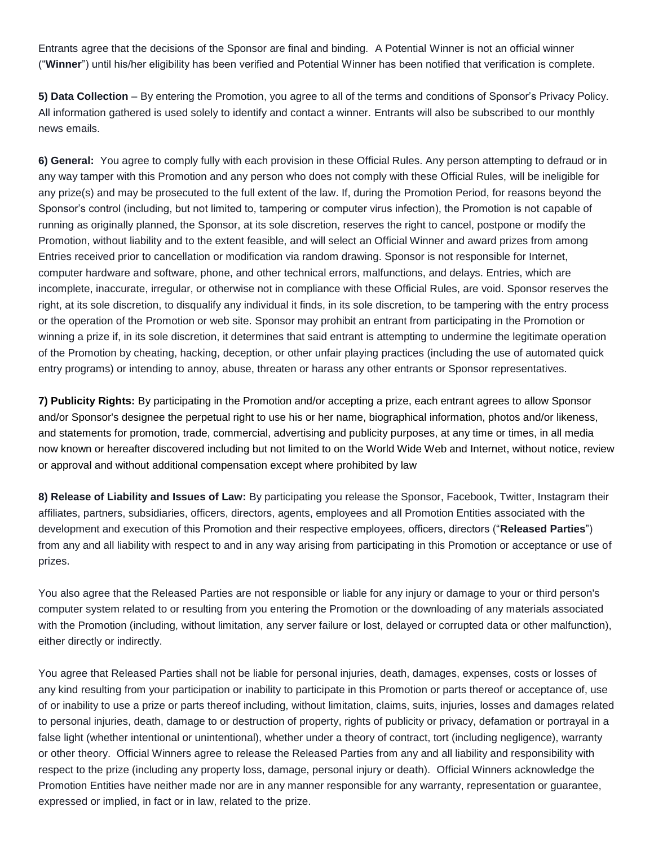Entrants agree that the decisions of the Sponsor are final and binding. A Potential Winner is not an official winner ("**Winner**") until his/her eligibility has been verified and Potential Winner has been notified that verification is complete.

**5) Data Collection** – By entering the Promotion, you agree to all of the terms and conditions of Sponsor's Privacy Policy. All information gathered is used solely to identify and contact a winner. Entrants will also be subscribed to our monthly news emails.

**6) General:** You agree to comply fully with each provision in these Official Rules. Any person attempting to defraud or in any way tamper with this Promotion and any person who does not comply with these Official Rules, will be ineligible for any prize(s) and may be prosecuted to the full extent of the law. If, during the Promotion Period, for reasons beyond the Sponsor's control (including, but not limited to, tampering or computer virus infection), the Promotion is not capable of running as originally planned, the Sponsor, at its sole discretion, reserves the right to cancel, postpone or modify the Promotion, without liability and to the extent feasible, and will select an Official Winner and award prizes from among Entries received prior to cancellation or modification via random drawing. Sponsor is not responsible for Internet, computer hardware and software, phone, and other technical errors, malfunctions, and delays. Entries, which are incomplete, inaccurate, irregular, or otherwise not in compliance with these Official Rules, are void. Sponsor reserves the right, at its sole discretion, to disqualify any individual it finds, in its sole discretion, to be tampering with the entry process or the operation of the Promotion or web site. Sponsor may prohibit an entrant from participating in the Promotion or winning a prize if, in its sole discretion, it determines that said entrant is attempting to undermine the legitimate operation of the Promotion by cheating, hacking, deception, or other unfair playing practices (including the use of automated quick entry programs) or intending to annoy, abuse, threaten or harass any other entrants or Sponsor representatives.

**7) Publicity Rights:** By participating in the Promotion and/or accepting a prize, each entrant agrees to allow Sponsor and/or Sponsor's designee the perpetual right to use his or her name, biographical information, photos and/or likeness, and statements for promotion, trade, commercial, advertising and publicity purposes, at any time or times, in all media now known or hereafter discovered including but not limited to on the World Wide Web and Internet, without notice, review or approval and without additional compensation except where prohibited by law

**8) Release of Liability and Issues of Law:** By participating you release the Sponsor, Facebook, Twitter, Instagram their affiliates, partners, subsidiaries, officers, directors, agents, employees and all Promotion Entities associated with the development and execution of this Promotion and their respective employees, officers, directors ("**Released Parties**") from any and all liability with respect to and in any way arising from participating in this Promotion or acceptance or use of prizes.

You also agree that the Released Parties are not responsible or liable for any injury or damage to your or third person's computer system related to or resulting from you entering the Promotion or the downloading of any materials associated with the Promotion (including, without limitation, any server failure or lost, delayed or corrupted data or other malfunction), either directly or indirectly.

You agree that Released Parties shall not be liable for personal injuries, death, damages, expenses, costs or losses of any kind resulting from your participation or inability to participate in this Promotion or parts thereof or acceptance of, use of or inability to use a prize or parts thereof including, without limitation, claims, suits, injuries, losses and damages related to personal injuries, death, damage to or destruction of property, rights of publicity or privacy, defamation or portrayal in a false light (whether intentional or unintentional), whether under a theory of contract, tort (including negligence), warranty or other theory. Official Winners agree to release the Released Parties from any and all liability and responsibility with respect to the prize (including any property loss, damage, personal injury or death). Official Winners acknowledge the Promotion Entities have neither made nor are in any manner responsible for any warranty, representation or guarantee, expressed or implied, in fact or in law, related to the prize.